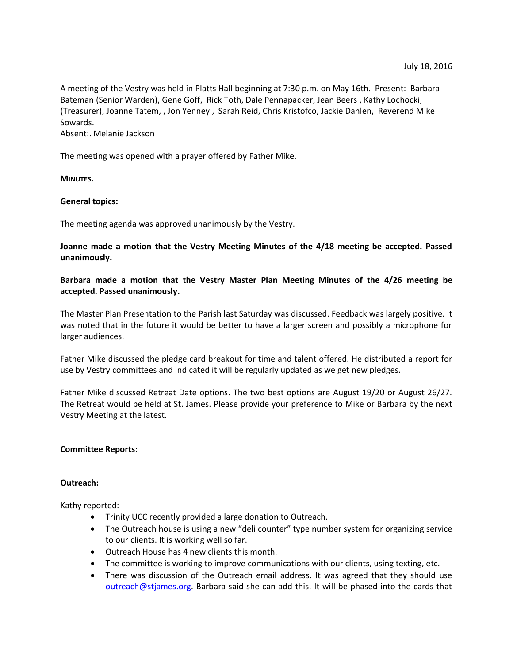A meeting of the Vestry was held in Platts Hall beginning at 7:30 p.m. on May 16th. Present: Barbara Bateman (Senior Warden), Gene Goff, Rick Toth, Dale Pennapacker, Jean Beers , Kathy Lochocki, (Treasurer), Joanne Tatem, , Jon Yenney , Sarah Reid, Chris Kristofco, Jackie Dahlen, Reverend Mike Sowards.

Absent:. Melanie Jackson

The meeting was opened with a prayer offered by Father Mike.

**MINUTES.**

### **General topics:**

The meeting agenda was approved unanimously by the Vestry.

**Joanne made a motion that the Vestry Meeting Minutes of the 4/18 meeting be accepted. Passed unanimously.**

## **Barbara made a motion that the Vestry Master Plan Meeting Minutes of the 4/26 meeting be accepted. Passed unanimously.**

The Master Plan Presentation to the Parish last Saturday was discussed. Feedback was largely positive. It was noted that in the future it would be better to have a larger screen and possibly a microphone for larger audiences.

Father Mike discussed the pledge card breakout for time and talent offered. He distributed a report for use by Vestry committees and indicated it will be regularly updated as we get new pledges.

Father Mike discussed Retreat Date options. The two best options are August 19/20 or August 26/27. The Retreat would be held at St. James. Please provide your preference to Mike or Barbara by the next Vestry Meeting at the latest.

### **Committee Reports:**

#### **Outreach:**

Kathy reported:

- Trinity UCC recently provided a large donation to Outreach.
- The Outreach house is using a new "deli counter" type number system for organizing service to our clients. It is working well so far.
- Outreach House has 4 new clients this month.
- The committee is working to improve communications with our clients, using texting, etc.
- There was discussion of the Outreach email address. It was agreed that they should use [outreach@stjames.org.](mailto:outreach@stjames.org) Barbara said she can add this. It will be phased into the cards that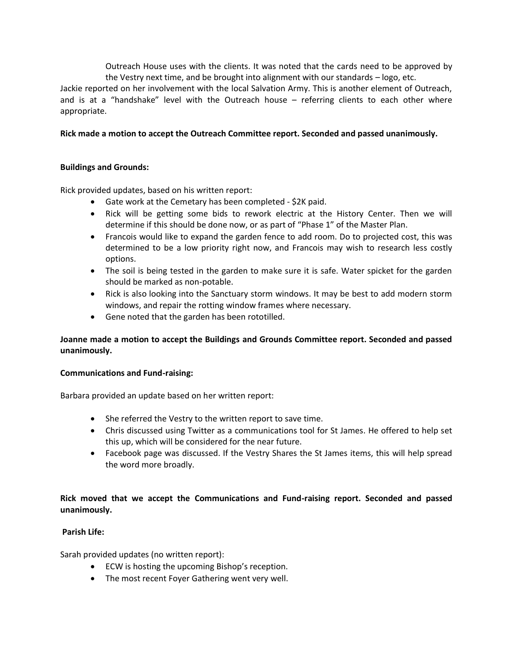Outreach House uses with the clients. It was noted that the cards need to be approved by the Vestry next time, and be brought into alignment with our standards – logo, etc.

Jackie reported on her involvement with the local Salvation Army. This is another element of Outreach, and is at a "handshake" level with the Outreach house – referring clients to each other where appropriate.

# **Rick made a motion to accept the Outreach Committee report. Seconded and passed unanimously.**

# **Buildings and Grounds:**

Rick provided updates, based on his written report:

- Gate work at the Cemetary has been completed \$2K paid.
- Rick will be getting some bids to rework electric at the History Center. Then we will determine if this should be done now, or as part of "Phase 1" of the Master Plan.
- Francois would like to expand the garden fence to add room. Do to projected cost, this was determined to be a low priority right now, and Francois may wish to research less costly options.
- The soil is being tested in the garden to make sure it is safe. Water spicket for the garden should be marked as non-potable.
- Rick is also looking into the Sanctuary storm windows. It may be best to add modern storm windows, and repair the rotting window frames where necessary.
- Gene noted that the garden has been rototilled.

# **Joanne made a motion to accept the Buildings and Grounds Committee report. Seconded and passed unanimously.**

## **Communications and Fund-raising:**

Barbara provided an update based on her written report:

- She referred the Vestry to the written report to save time.
- Chris discussed using Twitter as a communications tool for St James. He offered to help set this up, which will be considered for the near future.
- Facebook page was discussed. If the Vestry Shares the St James items, this will help spread the word more broadly.

# **Rick moved that we accept the Communications and Fund-raising report. Seconded and passed unanimously.**

# **Parish Life:**

Sarah provided updates (no written report):

- ECW is hosting the upcoming Bishop's reception.
- The most recent Foyer Gathering went very well.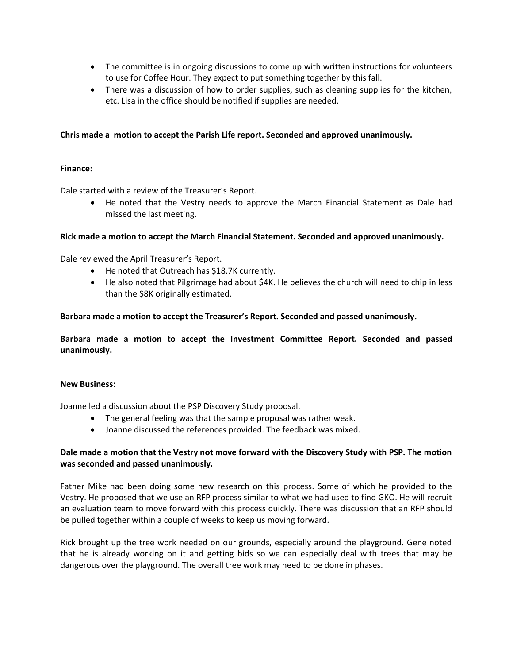- The committee is in ongoing discussions to come up with written instructions for volunteers to use for Coffee Hour. They expect to put something together by this fall.
- There was a discussion of how to order supplies, such as cleaning supplies for the kitchen, etc. Lisa in the office should be notified if supplies are needed.

### **Chris made a motion to accept the Parish Life report. Seconded and approved unanimously.**

### **Finance:**

Dale started with a review of the Treasurer's Report.

 He noted that the Vestry needs to approve the March Financial Statement as Dale had missed the last meeting.

### **Rick made a motion to accept the March Financial Statement. Seconded and approved unanimously.**

Dale reviewed the April Treasurer's Report.

- He noted that Outreach has \$18.7K currently.
- He also noted that Pilgrimage had about \$4K. He believes the church will need to chip in less than the \$8K originally estimated.

### **Barbara made a motion to accept the Treasurer's Report. Seconded and passed unanimously.**

**Barbara made a motion to accept the Investment Committee Report. Seconded and passed unanimously.**

### **New Business:**

Joanne led a discussion about the PSP Discovery Study proposal.

- The general feeling was that the sample proposal was rather weak.
- Joanne discussed the references provided. The feedback was mixed.

## **Dale made a motion that the Vestry not move forward with the Discovery Study with PSP. The motion was seconded and passed unanimously.**

Father Mike had been doing some new research on this process. Some of which he provided to the Vestry. He proposed that we use an RFP process similar to what we had used to find GKO. He will recruit an evaluation team to move forward with this process quickly. There was discussion that an RFP should be pulled together within a couple of weeks to keep us moving forward.

Rick brought up the tree work needed on our grounds, especially around the playground. Gene noted that he is already working on it and getting bids so we can especially deal with trees that may be dangerous over the playground. The overall tree work may need to be done in phases.